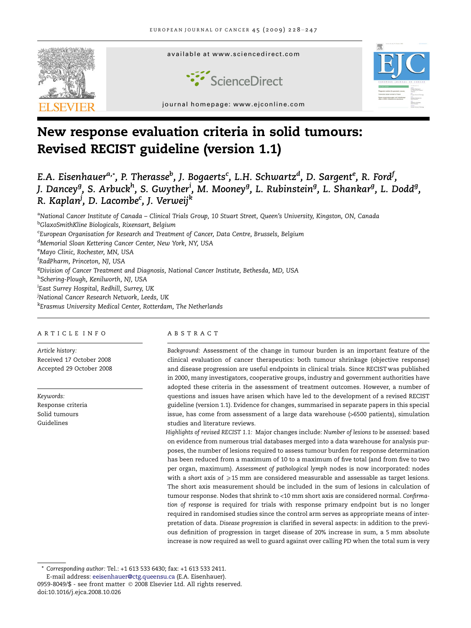

# New response evaluation criteria in solid tumours: Revised RECIST guideline (version 1.1)

E.A. Eisenhauer<sup>a,</sup>\*, P. Therasse<sup>b</sup>, J. Bogaerts<sup>c</sup>, L.H. Schwartz<sup>d</sup>, D. Sargent<sup>e</sup>, R. Ford<sup>f</sup>, J. Dancey<sup>g</sup>, S. Arbuck<sup>h</sup>, S. Gwyther<sup>i</sup>, M. Mooney<sup>g</sup>, L. Rubinstein<sup>g</sup>, L. Shankar<sup>g</sup>, L. Dodd<sup>g</sup>, R. Kaplan<sup>j</sup>, D. Lacombe<sup>c</sup>, J. Verweij<sup>k</sup>

<sup>a</sup>National Cancer Institute of Canada – Clinical Trials Group, 10 Stuart Street, Queen's University, Kingston, ON, Canada <sup>b</sup>GlaxoSmithKline Biologicals, Rixensart, Belgium <sup>c</sup>European Organisation for Research and Treatment of Cancer, Data Centre, Brussels, Belgium d Memorial Sloan Kettering Cancer Center, New York, NY, USA <sup>e</sup>Mayo Clinic, Rochester, MN, USA f RadPharm, Princeton, NJ, USA <sup>g</sup>Division of Cancer Treatment and Diagnosis, National Cancer Institute, Bethesda, MD, USA hSchering-Plough, Kenilworth, NJ, USA <sup>i</sup>East Surrey Hospital, Redhill, Surrey, UK <sup>j</sup>National Cancer Research Network, Leeds, UK <sup>k</sup>Erasmus University Medical Center, Rotterdam, The Netherlands

## ARTICLE INFO

Article history: Received 17 October 2008 Accepted 29 October 2008

Keywords: Response criteria Solid tumours Guidelines

#### ABSTRACT

Background: Assessment of the change in tumour burden is an important feature of the clinical evaluation of cancer therapeutics: both tumour shrinkage (objective response) and disease progression are useful endpoints in clinical trials. Since RECIST was published in 2000, many investigators, cooperative groups, industry and government authorities have adopted these criteria in the assessment of treatment outcomes. However, a number of questions and issues have arisen which have led to the development of a revised RECIST guideline (version 1.1). Evidence for changes, summarised in separate papers in this special issue, has come from assessment of a large data warehouse (>6500 patients), simulation studies and literature reviews.

Highlights of revised RECIST 1.1: Major changes include: Number of lesions to be assessed: based on evidence from numerous trial databases merged into a data warehouse for analysis purposes, the number of lesions required to assess tumour burden for response determination has been reduced from a maximum of 10 to a maximum of five total (and from five to two per organ, maximum). Assessment of pathological lymph nodes is now incorporated: nodes with a short axis of  $\geqslant$  15 mm are considered measurable and assessable as target lesions. The short axis measurement should be included in the sum of lesions in calculation of tumour response. Nodes that shrink to <10 mm short axis are considered normal. Confirmation of response is required for trials with response primary endpoint but is no longer required in randomised studies since the control arm serves as appropriate means of interpretation of data. Disease progression is clarified in several aspects: in addition to the previous definition of progression in target disease of 20% increase in sum, a 5 mm absolute increase is now required as well to guard against over calling PD when the total sum is very

0959-8049/\$ - see front matter © 2008 Elsevier Ltd. All rights reserved. doi:10.1016/j.ejca.2008.10.026 E-mail address: [eeisenhauer@ctg.queensu.ca](mailto:eeisenhauer@ctg.queensu.ca) (E.A. Eisenhauer).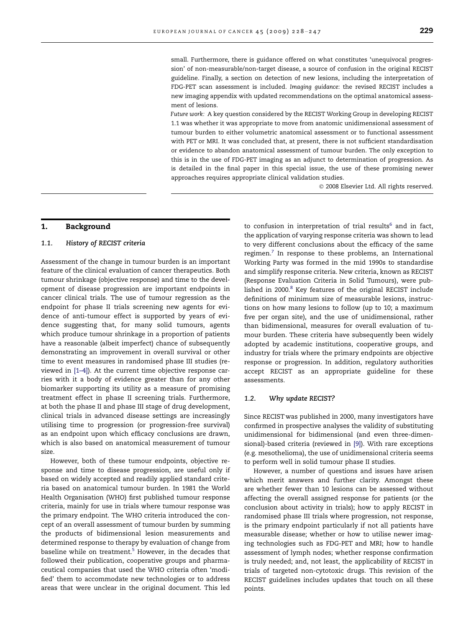small. Furthermore, there is guidance offered on what constitutes 'unequivocal progression' of non-measurable/non-target disease, a source of confusion in the original RECIST guideline. Finally, a section on detection of new lesions, including the interpretation of FDG-PET scan assessment is included. Imaging guidance: the revised RECIST includes a new imaging appendix with updated recommendations on the optimal anatomical assessment of lesions.

Future work: A key question considered by the RECIST Working Group in developing RECIST 1.1 was whether it was appropriate to move from anatomic unidimensional assessment of tumour burden to either volumetric anatomical assessment or to functional assessment with PET or MRI. It was concluded that, at present, there is not sufficient standardisation or evidence to abandon anatomical assessment of tumour burden. The only exception to this is in the use of FDG-PET imaging as an adjunct to determination of progression. As is detailed in the final paper in this special issue, the use of these promising newer approaches requires appropriate clinical validation studies.

© 2008 Elsevier Ltd. All rights reserved.

## 1. Background

#### 1.1. History of RECIST criteria

Assessment of the change in tumour burden is an important feature of the clinical evaluation of cancer therapeutics. Both tumour shrinkage (objective response) and time to the development of disease progression are important endpoints in cancer clinical trials. The use of tumour regression as the endpoint for phase II trials screening new agents for evidence of anti-tumour effect is supported by years of evidence suggesting that, for many solid tumours, agents which produce tumour shrinkage in a proportion of patients have a reasonable (albeit imperfect) chance of subsequently demonstrating an improvement in overall survival or other time to event measures in randomised phase III studies (reviewed in [\[1–4\]](#page-18-0)). At the current time objective response carries with it a body of evidence greater than for any other biomarker supporting its utility as a measure of promising treatment effect in phase II screening trials. Furthermore, at both the phase II and phase III stage of drug development, clinical trials in advanced disease settings are increasingly utilising time to progression (or progression-free survival) as an endpoint upon which efficacy conclusions are drawn, which is also based on anatomical measurement of tumour size.

However, both of these tumour endpoints, objective response and time to disease progression, are useful only if based on widely accepted and readily applied standard criteria based on anatomical tumour burden. In 1981 the World Health Organisation (WHO) first published tumour response criteria, mainly for use in trials where tumour response was the primary endpoint. The WHO criteria introduced the concept of an overall assessment of tumour burden by summing the products of bidimensional lesion measurements and determined response to therapy by evaluation of change from baseline while on treatment.<sup>5</sup> However, in the decades that followed their publication, cooperative groups and pharmaceutical companies that used the WHO criteria often 'modified' them to accommodate new technologies or to address areas that were unclear in the original document. This led

to confusion in interpretation of trial results<sup>[6](#page-18-0)</sup> and in fact, the application of varying response criteria was shown to lead to very different conclusions about the efficacy of the same regimen. $<sup>7</sup>$  In response to these problems, an International</sup> Working Party was formed in the mid 1990s to standardise and simplify response criteria. New criteria, known as RECIST (Response Evaluation Criteria in Solid Tumours), were published in 2000.<sup>8</sup> Key features of the original RECIST include definitions of minimum size of measurable lesions, instructions on how many lesions to follow (up to 10; a maximum five per organ site), and the use of unidimensional, rather than bidimensional, measures for overall evaluation of tumour burden. These criteria have subsequently been widely adopted by academic institutions, cooperative groups, and industry for trials where the primary endpoints are objective response or progression. In addition, regulatory authorities accept RECIST as an appropriate guideline for these assessments.

#### 1.2. Why update RECIST?

Since RECIST was published in 2000, many investigators have confirmed in prospective analyses the validity of substituting unidimensional for bidimensional (and even three-dimensional)-based criteria (reviewed in [\[9\]\)](#page-18-0). With rare exceptions (e.g. mesothelioma), the use of unidimensional criteria seems to perform well in solid tumour phase II studies.

However, a number of questions and issues have arisen which merit answers and further clarity. Amongst these are whether fewer than 10 lesions can be assessed without affecting the overall assigned response for patients (or the conclusion about activity in trials); how to apply RECIST in randomised phase III trials where progression, not response, is the primary endpoint particularly if not all patients have measurable disease; whether or how to utilise newer imaging technologies such as FDG-PET and MRI; how to handle assessment of lymph nodes; whether response confirmation is truly needed; and, not least, the applicability of RECIST in trials of targeted non-cytotoxic drugs. This revision of the RECIST guidelines includes updates that touch on all these points.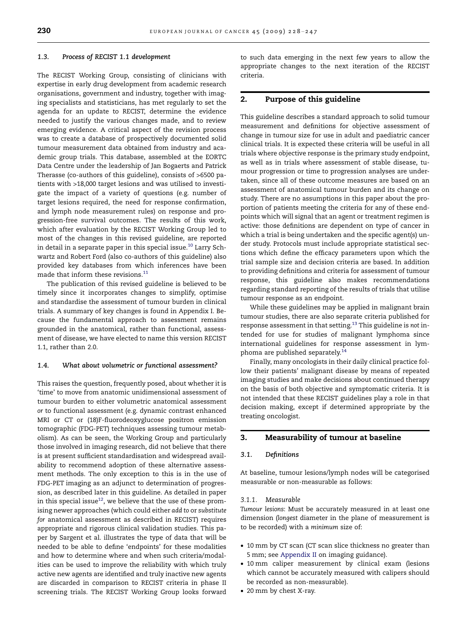#### 1.3. Process of RECIST 1.1 development

The RECIST Working Group, consisting of clinicians with expertise in early drug development from academic research organisations, government and industry, together with imaging specialists and statisticians, has met regularly to set the agenda for an update to RECIST, determine the evidence needed to justify the various changes made, and to review emerging evidence. A critical aspect of the revision process was to create a database of prospectively documented solid tumour measurement data obtained from industry and academic group trials. This database, assembled at the EORTC Data Centre under the leadership of Jan Bogaerts and Patrick Therasse (co-authors of this guideline), consists of >6500 patients with >18,000 target lesions and was utilised to investigate the impact of a variety of questions (e.g. number of target lesions required, the need for response confirmation, and lymph node measurement rules) on response and progression-free survival outcomes. The results of this work, which after evaluation by the RECIST Working Group led to most of the changes in this revised guideline, are reported in detail in a separate paper in this special issue.<sup>[10](#page-18-0)</sup> Larry Schwartz and Robert Ford (also co-authors of this guideline) also provided key databases from which inferences have been made that inform these revisions. $11$ 

The publication of this revised guideline is believed to be timely since it incorporates changes to simplify, optimise and standardise the assessment of tumour burden in clinical trials. A summary of key changes is found in Appendix I. Because the fundamental approach to assessment remains grounded in the anatomical, rather than functional, assessment of disease, we have elected to name this version RECIST 1.1, rather than 2.0.

## 1.4. What about volumetric or functional assessment?

This raises the question, frequently posed, about whether it is 'time' to move from anatomic unidimensional assessment of tumour burden to either volumetric anatomical assessment or to functional assessment (e.g. dynamic contrast enhanced MRI or CT or (18)F-fluorodeoxyglucose positron emission tomographic (FDG-PET) techniques assessing tumour metabolism). As can be seen, the Working Group and particularly those involved in imaging research, did not believe that there is at present sufficient standardisation and widespread availability to recommend adoption of these alternative assessment methods. The only exception to this is in the use of FDG-PET imaging as an adjunct to determination of progression, as described later in this guideline. As detailed in paper in this special issue $^{12}$ , we believe that the use of these promising newer approaches (which could either add to or substitute for anatomical assessment as described in RECIST) requires appropriate and rigorous clinical validation studies. This paper by Sargent et al. illustrates the type of data that will be needed to be able to define 'endpoints' for these modalities and how to determine where and when such criteria/modalities can be used to improve the reliability with which truly active new agents are identified and truly inactive new agents are discarded in comparison to RECIST criteria in phase II screening trials. The RECIST Working Group looks forward

to such data emerging in the next few years to allow the appropriate changes to the next iteration of the RECIST criteria.

## 2. Purpose of this guideline

This guideline describes a standard approach to solid tumour measurement and definitions for objective assessment of change in tumour size for use in adult and paediatric cancer clinical trials. It is expected these criteria will be useful in all trials where objective response is the primary study endpoint, as well as in trials where assessment of stable disease, tumour progression or time to progression analyses are undertaken, since all of these outcome measures are based on an assessment of anatomical tumour burden and its change on study. There are no assumptions in this paper about the proportion of patients meeting the criteria for any of these endpoints which will signal that an agent or treatment regimen is active: those definitions are dependent on type of cancer in which a trial is being undertaken and the specific agent(s) under study. Protocols must include appropriate statistical sections which define the efficacy parameters upon which the trial sample size and decision criteria are based. In addition to providing definitions and criteria for assessment of tumour response, this guideline also makes recommendations regarding standard reporting of the results of trials that utilise tumour response as an endpoint.

While these guidelines may be applied in malignant brain tumour studies, there are also separate criteria published for response assessment in that setting.<sup>13</sup> This guideline is not intended for use for studies of malignant lymphoma since international guidelines for response assessment in lymphoma are published separately.[14](#page-19-0)

Finally, many oncologists in their daily clinical practice follow their patients' malignant disease by means of repeated imaging studies and make decisions about continued therapy on the basis of both objective and symptomatic criteria. It is not intended that these RECIST guidelines play a role in that decision making, except if determined appropriate by the treating oncologist.

## 3. Measurability of tumour at baseline

## 3.1. Definitions

At baseline, tumour lesions/lymph nodes will be categorised measurable or non-measurable as follows:

#### 3.1.1. Measurable

Tumour lesions: Must be accurately measured in at least one dimension (longest diameter in the plane of measurement is to be recorded) with a minimum size of:

- 10 mm by CT scan (CT scan slice thickness no greater than 5 mm; see Appendix II on imaging guidance).
- 10 mm caliper measurement by clinical exam (lesions which cannot be accurately measured with calipers should be recorded as non-measurable).
- 20 mm by chest X-ray.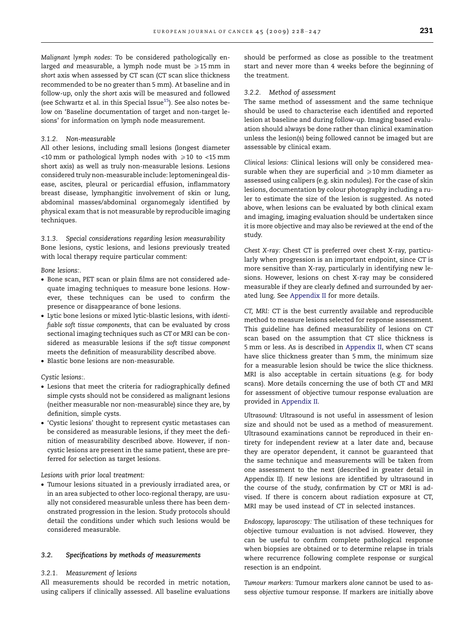Malignant lymph nodes: To be considered pathologically enlarged and measurable, a lymph node must be  $\geq 15$  mm in short axis when assessed by CT scan (CT scan slice thickness recommended to be no greater than 5 mm). At baseline and in follow-up, only the short axis will be measured and followed (see Schwartz et al. in this Special Issue $15$ ). See also notes below on 'Baseline documentation of target and non-target lesions' for information on lymph node measurement.

#### 3.1.2. Non-measurable

All other lesions, including small lesions (longest diameter  $<$ 10 mm or pathological lymph nodes with  $\geq$ 10 to  $<$ 15 mm short axis) as well as truly non-measurable lesions. Lesions considered truly non-measurable include: leptomeningeal disease, ascites, pleural or pericardial effusion, inflammatory breast disease, lymphangitic involvement of skin or lung, abdominal masses/abdominal organomegaly identified by physical exam that is not measurable by reproducible imaging techniques.

3.1.3. Special considerations regarding lesion measurability Bone lesions, cystic lesions, and lesions previously treated with local therapy require particular comment:

Bone lesions:.

- Bone scan, PET scan or plain films are not considered adequate imaging techniques to measure bone lesions. However, these techniques can be used to confirm the presence or disappearance of bone lesions.
- Lytic bone lesions or mixed lytic-blastic lesions, with identifiable soft tissue components, that can be evaluated by cross sectional imaging techniques such as CT or MRI can be considered as measurable lesions if the soft tissue component meets the definition of measurability described above.
- Blastic bone lesions are non-measurable.

#### Cystic lesions:.

- Lesions that meet the criteria for radiographically defined simple cysts should not be considered as malignant lesions (neither measurable nor non-measurable) since they are, by definition, simple cysts.
- 'Cystic lesions' thought to represent cystic metastases can be considered as measurable lesions, if they meet the definition of measurability described above. However, if noncystic lesions are present in the same patient, these are preferred for selection as target lesions.

Lesions with prior local treatment:

• Tumour lesions situated in a previously irradiated area, or in an area subjected to other loco-regional therapy, are usually not considered measurable unless there has been demonstrated progression in the lesion. Study protocols should detail the conditions under which such lesions would be considered measurable.

#### 3.2. Specifications by methods of measurements

#### 3.2.1. Measurement of lesions

All measurements should be recorded in metric notation, using calipers if clinically assessed. All baseline evaluations should be performed as close as possible to the treatment start and never more than 4 weeks before the beginning of the treatment.

## 3.2.2. Method of assessment

The same method of assessment and the same technique should be used to characterise each identified and reported lesion at baseline and during follow-up. Imaging based evaluation should always be done rather than clinical examination unless the lesion(s) being followed cannot be imaged but are assessable by clinical exam.

Clinical lesions: Clinical lesions will only be considered measurable when they are superficial and  $\geq 10$  mm diameter as assessed using calipers (e.g. skin nodules). For the case of skin lesions, documentation by colour photography including a ruler to estimate the size of the lesion is suggested. As noted above, when lesions can be evaluated by both clinical exam and imaging, imaging evaluation should be undertaken since it is more objective and may also be reviewed at the end of the study.

Chest X-ray: Chest CT is preferred over chest X-ray, particularly when progression is an important endpoint, since CT is more sensitive than X-ray, particularly in identifying new lesions. However, lesions on chest X-ray may be considered measurable if they are clearly defined and surrounded by aerated lung. See Appendix II for more details.

CT, MRI: CT is the best currently available and reproducible method to measure lesions selected for response assessment. This guideline has defined measurability of lesions on CT scan based on the assumption that CT slice thickness is 5 mm or less. As is described in Appendix II, when CT scans have slice thickness greater than 5 mm, the minimum size for a measurable lesion should be twice the slice thickness. MRI is also acceptable in certain situations (e.g. for body scans). More details concerning the use of both CT and MRI for assessment of objective tumour response evaluation are provided in Appendix II.

Ultrasound: Ultrasound is not useful in assessment of lesion size and should not be used as a method of measurement. Ultrasound examinations cannot be reproduced in their entirety for independent review at a later date and, because they are operator dependent, it cannot be guaranteed that the same technique and measurements will be taken from one assessment to the next (described in greater detail in Appendix II). If new lesions are identified by ultrasound in the course of the study, confirmation by CT or MRI is advised. If there is concern about radiation exposure at CT, MRI may be used instead of CT in selected instances.

Endoscopy, laparoscopy: The utilisation of these techniques for objective tumour evaluation is not advised. However, they can be useful to confirm complete pathological response when biopsies are obtained or to determine relapse in trials where recurrence following complete response or surgical resection is an endpoint.

Tumour markers: Tumour markers alone cannot be used to assess objective tumour response. If markers are initially above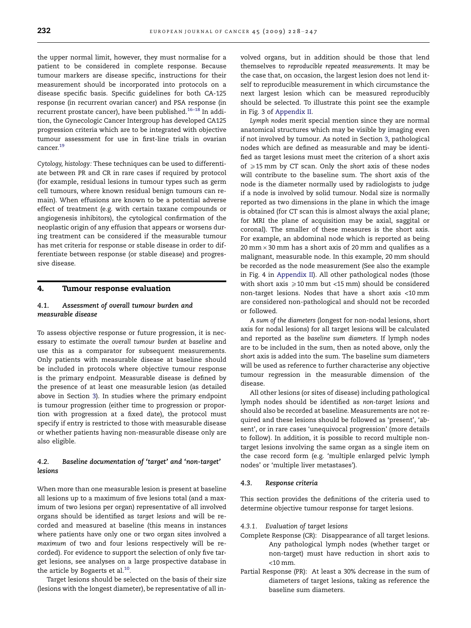the upper normal limit, however, they must normalise for a patient to be considered in complete response. Because tumour markers are disease specific, instructions for their measurement should be incorporated into protocols on a disease specific basis. Specific guidelines for both CA-125 response (in recurrent ovarian cancer) and PSA response (in recurrent prostate cancer), have been published.<sup>16-18</sup> In addition, the Gynecologic Cancer Intergroup has developed CA125 progression criteria which are to be integrated with objective tumour assessment for use in first-line trials in ovarian cancer.<sup>[19](#page-19-0)</sup>

Cytology, histology: These techniques can be used to differentiate between PR and CR in rare cases if required by protocol (for example, residual lesions in tumour types such as germ cell tumours, where known residual benign tumours can remain). When effusions are known to be a potential adverse effect of treatment (e.g. with certain taxane compounds or angiogenesis inhibitors), the cytological confirmation of the neoplastic origin of any effusion that appears or worsens during treatment can be considered if the measurable tumour has met criteria for response or stable disease in order to differentiate between response (or stable disease) and progressive disease.

## 4. Tumour response evaluation

#### 4.1. Assessment of overall tumour burden and measurable disease

To assess objective response or future progression, it is necessary to estimate the overall tumour burden at baseline and use this as a comparator for subsequent measurements. Only patients with measurable disease at baseline should be included in protocols where objective tumour response is the primary endpoint. Measurable disease is defined by the presence of at least one measurable lesion (as detailed above in Section 3). In studies where the primary endpoint is tumour progression (either time to progression or proportion with progression at a fixed date), the protocol must specify if entry is restricted to those with measurable disease or whether patients having non-measurable disease only are also eligible.

## 4.2. Baseline documentation of 'target' and 'non-target' lesions

When more than one measurable lesion is present at baseline all lesions up to a maximum of five lesions total (and a maximum of two lesions per organ) representative of all involved organs should be identified as target lesions and will be recorded and measured at baseline (this means in instances where patients have only one or two organ sites involved a maximum of two and four lesions respectively will be recorded). For evidence to support the selection of only five target lesions, see analyses on a large prospective database in the article by Bogaerts et al.<sup>10</sup>.

Target lesions should be selected on the basis of their size (lesions with the longest diameter), be representative of all involved organs, but in addition should be those that lend themselves to reproducible repeated measurements. It may be the case that, on occasion, the largest lesion does not lend itself to reproducible measurement in which circumstance the next largest lesion which can be measured reproducibly should be selected. To illustrate this point see the example in Fig. 3 of Appendix II.

Lymph nodes merit special mention since they are normal anatomical structures which may be visible by imaging even if not involved by tumour. As noted in Section 3, pathological nodes which are defined as measurable and may be identified as target lesions must meet the criterion of a short axis of  $\geq 15$  mm by CT scan. Only the short axis of these nodes will contribute to the baseline sum. The short axis of the node is the diameter normally used by radiologists to judge if a node is involved by solid tumour. Nodal size is normally reported as two dimensions in the plane in which the image is obtained (for CT scan this is almost always the axial plane; for MRI the plane of acquisition may be axial, saggital or coronal). The smaller of these measures is the short axis. For example, an abdominal node which is reported as being  $20$  mm  $\times$  30 mm has a short axis of 20 mm and qualifies as a malignant, measurable node. In this example, 20 mm should be recorded as the node measurement (See also the example in Fig. 4 in Appendix II). All other pathological nodes (those with short axis  $\geq 10$  mm but <15 mm) should be considered non-target lesions. Nodes that have a short axis <10 mm are considered non-pathological and should not be recorded or followed.

A sum of the diameters (longest for non-nodal lesions, short axis for nodal lesions) for all target lesions will be calculated and reported as the baseline sum diameters. If lymph nodes are to be included in the sum, then as noted above, only the short axis is added into the sum. The baseline sum diameters will be used as reference to further characterise any objective tumour regression in the measurable dimension of the disease.

All other lesions (or sites of disease) including pathological lymph nodes should be identified as non-target lesions and should also be recorded at baseline. Measurements are not required and these lesions should be followed as 'present', 'absent', or in rare cases 'unequivocal progression' (more details to follow). In addition, it is possible to record multiple nontarget lesions involving the same organ as a single item on the case record form (e.g. 'multiple enlarged pelvic lymph nodes' or 'multiple liver metastases').

#### 4.3. Response criteria

This section provides the definitions of the criteria used to determine objective tumour response for target lesions.

#### 4.3.1. Evaluation of target lesions

- Complete Response (CR): Disappearance of all target lesions. Any pathological lymph nodes (whether target or non-target) must have reduction in short axis to  $<$ 10 mm.
- Partial Response (PR): At least a 30% decrease in the sum of diameters of target lesions, taking as reference the baseline sum diameters.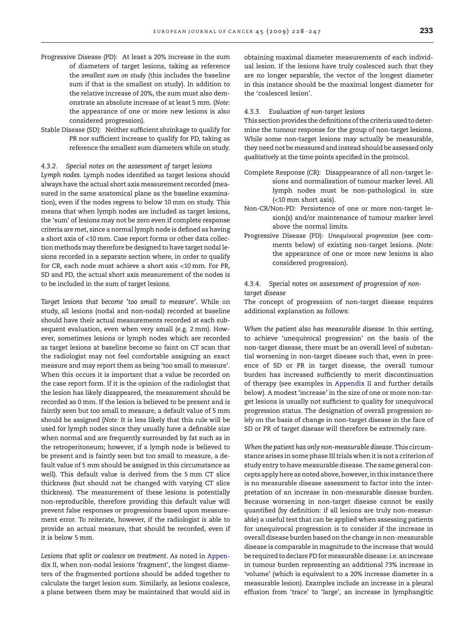- Progressive Disease (PD): At least a 20% increase in the sum of diameters of target lesions, taking as reference the smallest sum on study (this includes the baseline sum if that is the smallest on study). In addition to the relative increase of 20%, the sum must also demonstrate an absolute increase of at least 5 mm. (Note: the appearance of one or more new lesions is also considered progression).
- Stable Disease (SD): Neither sufficient shrinkage to qualify for PR nor sufficient increase to qualify for PD, taking as reference the smallest sum diameters while on study.

4.3.2. Special notes on the assessment of target lesions Lymph nodes. Lymph nodes identified as target lesions should always have the actual short axis measurement recorded (measured in the same anatomical plane as the baseline examination), even if the nodes regress to below 10 mm on study. This means that when lymph nodes are included as target lesions, the 'sum' of lesions may not be zero even if complete response criteria are met, since a normal lymph node is defined as having a short axis of <10 mm. Case report forms or other data collection methods may therefore be designed to have target nodal lesions recorded in a separate section where, in order to qualify for CR, each node must achieve a short axis <10 mm. For PR, SD and PD, the actual short axis measurement of the nodes is to be included in the sum of target lesions.

Target lesions that become 'too small to measure'. While on study, all lesions (nodal and non-nodal) recorded at baseline should have their actual measurements recorded at each subsequent evaluation, even when very small (e.g. 2 mm). However, sometimes lesions or lymph nodes which are recorded as target lesions at baseline become so faint on CT scan that the radiologist may not feel comfortable assigning an exact measure and may report them as being 'too small to measure'. When this occurs it is important that a value be recorded on the case report form. If it is the opinion of the radiologist that the lesion has likely disappeared, the measurement should be recorded as 0 mm. If the lesion is believed to be present and is faintly seen but too small to measure, a default value of 5 mm should be assigned (Note: It is less likely that this rule will be used for lymph nodes since they usually have a definable size when normal and are frequently surrounded by fat such as in the retroperitoneum; however, if a lymph node is believed to be present and is faintly seen but too small to measure, a default value of 5 mm should be assigned in this circumstance as well). This default value is derived from the 5 mm CT slice thickness (but should not be changed with varying CT slice thickness). The measurement of these lesions is potentially non-reproducible, therefore providing this default value will prevent false responses or progressions based upon measurement error. To reiterate, however, if the radiologist is able to provide an actual measure, that should be recorded, even if it is below 5 mm.

Lesions that split or coalesce on treatment. As noted in Appendix II, when non-nodal lesions 'fragment', the longest diameters of the fragmented portions should be added together to calculate the target lesion sum. Similarly, as lesions coalesce, a plane between them may be maintained that would aid in obtaining maximal diameter measurements of each individual lesion. If the lesions have truly coalesced such that they are no longer separable, the vector of the longest diameter in this instance should be the maximal longest diameter for the 'coalesced lesion'.

#### 4.3.3. Evaluation of non-target lesions

This section provides the definitions of the criteria used to determine the tumour response for the group of non-target lesions. While some non-target lesions may actually be measurable, they need not be measured and instead should be assessed only qualitatively at the time points specified in the protocol.

- Complete Response (CR): Disappearance of all non-target lesions and normalisation of tumour marker level. All lymph nodes must be non-pathological in size (<10 mm short axis).
- Non-CR/Non-PD: Persistence of one or more non-target lesion(s) and/or maintenance of tumour marker level above the normal limits.
- Progressive Disease (PD): Unequivocal progression (see comments below) of existing non-target lesions. (Note: the appearance of one or more new lesions is also considered progression).

## 4.3.4. Special notes on assessment of progression of nontarget disease

The concept of progression of non-target disease requires additional explanation as follows:

When the patient also has measurable disease. In this setting, to achieve 'unequivocal progression' on the basis of the non-target disease, there must be an overall level of substantial worsening in non-target disease such that, even in presence of SD or PR in target disease, the overall tumour burden has increased sufficiently to merit discontinuation of therapy (see examples in Appendix II and further details below). A modest 'increase' in the size of one or more non-target lesions is usually not sufficient to quality for unequivocal progression status. The designation of overall progression solely on the basis of change in non-target disease in the face of SD or PR of target disease will therefore be extremely rare.

When the patient has only non-measurable disease.This circumstance arises in some phase III trials when it is not a criterion of study entry to have measurable disease. The same general concepts apply here as noted above, however, in this instance there is no measurable disease assessment to factor into the interpretation of an increase in non-measurable disease burden. Because worsening in non-target disease cannot be easily quantified (by definition: if all lesions are truly non-measurable) a useful test that can be applied when assessing patients for unequivocal progression is to consider if the increase in overall disease burden based on the change in non-measurable disease is comparable in magnitude to the increase that would be required to declare PD formeasurable disease: i.e. an increase in tumour burden representing an additional 73% increase in 'volume' (which is equivalent to a 20% increase diameter in a measurable lesion). Examples include an increase in a pleural effusion from 'trace' to 'large', an increase in lymphangitic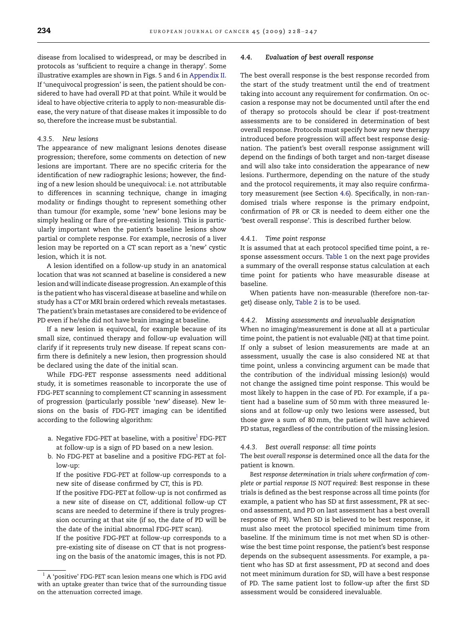disease from localised to widespread, or may be described in protocols as 'sufficient to require a change in therapy'. Some illustrative examples are shown in Figs. 5 and 6 in Appendix II. If 'unequivocal progression' is seen, the patient should be considered to have had overall PD at that point. While it would be ideal to have objective criteria to apply to non-measurable disease, the very nature of that disease makes it impossible to do so, therefore the increase must be substantial.

#### 4.3.5. New lesions

The appearance of new malignant lesions denotes disease progression; therefore, some comments on detection of new lesions are important. There are no specific criteria for the identification of new radiographic lesions; however, the finding of a new lesion should be unequivocal: i.e. not attributable to differences in scanning technique, change in imaging modality or findings thought to represent something other than tumour (for example, some 'new' bone lesions may be simply healing or flare of pre-existing lesions). This is particularly important when the patient's baseline lesions show partial or complete response. For example, necrosis of a liver lesion may be reported on a CT scan report as a 'new' cystic lesion, which it is not.

A lesion identified on a follow-up study in an anatomical location that was not scanned at baseline is considered a new lesion andwill indicate disease progression. An example of this is the patient who has visceral disease at baseline and while on study has a CT or MRI brain ordered which reveals metastases. The patient's brain metastases are considered to be evidence of PD even if he/she did not have brain imaging at baseline.

If a new lesion is equivocal, for example because of its small size, continued therapy and follow-up evaluation will clarify if it represents truly new disease. If repeat scans confirm there is definitely a new lesion, then progression should be declared using the date of the initial scan.

While FDG-PET response assessments need additional study, it is sometimes reasonable to incorporate the use of FDG-PET scanning to complement CT scanning in assessment of progression (particularly possible 'new' disease). New lesions on the basis of FDG-PET imaging can be identified according to the following algorithm:

- a. Negative FDG-PET at baseline, with a positive<sup>l</sup> FDG-PET at follow-up is a sign of PD based on a new lesion.
- b. No FDG-PET at baseline and a positive FDG-PET at follow-up:

If the positive FDG-PET at follow-up corresponds to a new site of disease confirmed by CT, this is PD.

If the positive FDG-PET at follow-up is not confirmed as a new site of disease on CT, additional follow-up CT scans are needed to determine if there is truly progression occurring at that site (if so, the date of PD will be the date of the initial abnormal FDG-PET scan).

If the positive FDG-PET at follow-up corresponds to a pre-existing site of disease on CT that is not progressing on the basis of the anatomic images, this is not PD.

## 4.4. Evaluation of best overall response

The best overall response is the best response recorded from the start of the study treatment until the end of treatment taking into account any requirement for confirmation. On occasion a response may not be documented until after the end of therapy so protocols should be clear if post-treatment assessments are to be considered in determination of best overall response. Protocols must specify how any new therapy introduced before progression will affect best response designation. The patient's best overall response assignment will depend on the findings of both target and non-target disease and will also take into consideration the appearance of new lesions. Furthermore, depending on the nature of the study and the protocol requirements, it may also require confirmatory measurement (see Section 4.6). Specifically, in non-randomised trials where response is the primary endpoint, confirmation of PR or CR is needed to deem either one the 'best overall response'. This is described further below.

#### 4.4.1. Time point response

It is assumed that at each protocol specified time point, a response assessment occurs. Table 1 on the next page provides a summary of the overall response status calculation at each time point for patients who have measurable disease at baseline.

When patients have non-measurable (therefore non-target) disease only, Table 2 is to be used.

#### 4.4.2. Missing assessments and inevaluable designation

When no imaging/measurement is done at all at a particular time point, the patient is not evaluable (NE) at that time point. If only a subset of lesion measurements are made at an assessment, usually the case is also considered NE at that time point, unless a convincing argument can be made that the contribution of the individual missing lesion(s) would not change the assigned time point response. This would be most likely to happen in the case of PD. For example, if a patient had a baseline sum of 50 mm with three measured lesions and at follow-up only two lesions were assessed, but those gave a sum of 80 mm, the patient will have achieved PD status, regardless of the contribution of the missing lesion.

## 4.4.3. Best overall response: all time points

The best overall response is determined once all the data for the patient is known.

Best response determination in trials where confirmation of complete or partial response IS NOT required: Best response in these trials is defined as the best response across all time points (for example, a patient who has SD at first assessment, PR at second assessment, and PD on last assessment has a best overall response of PR). When SD is believed to be best response, it must also meet the protocol specified minimum time from baseline. If the minimum time is not met when SD is otherwise the best time point response, the patient's best response depends on the subsequent assessments. For example, a patient who has SD at first assessment, PD at second and does not meet minimum duration for SD, will have a best response of PD. The same patient lost to follow-up after the first SD assessment would be considered inevaluable.

 $<sup>1</sup>$  A 'positive' FDG-PET scan lesion means one which is FDG avid</sup> with an uptake greater than twice that of the surrounding tissue on the attenuation corrected image.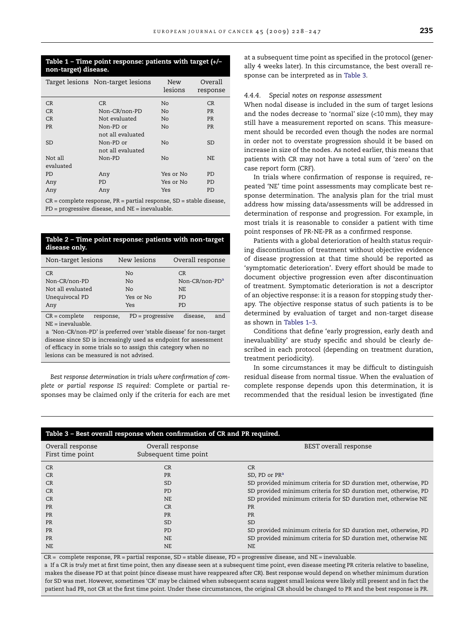#### Table 1 – Time point response: patients with target (+/– non-target) disease.

|           | Target lesions Non-target lesions | <b>New</b><br>lesions | Overall<br>response |
|-----------|-----------------------------------|-----------------------|---------------------|
| CR        | CR                                | No                    | CR                  |
| CR        | Non-CR/non-PD                     | No                    | <b>PR</b>           |
| CR        | Not evaluated                     | No                    | <b>PR</b>           |
| <b>PR</b> | Non-PD or                         | No                    | <b>PR</b>           |
|           | not all evaluated                 |                       |                     |
| <b>SD</b> | Non-PD or                         | No                    | SD                  |
|           | not all evaluated                 |                       |                     |
| Not all   | Non-PD                            | No                    | NE.                 |
| evaluated |                                   |                       |                     |
| PD.       | Any                               | Yes or No             | P <sub>D</sub>      |
| Any       | PD                                | Yes or No             | PD.                 |
| Any       | Any                               | Yes                   | PD                  |
|           |                                   |                       |                     |

CR = complete response, PR = partial response, SD = stable disease, PD = progressive disease, and NE = inevaluable.

#### Table 2 – Time point response: patients with non-target disease only.

| Non-target lesions |          | New lesions       | Overall response           |
|--------------------|----------|-------------------|----------------------------|
| CR.                |          | No                | CR.                        |
| Non-CR/non-PD      |          | No                | Non-CR/non-PD <sup>a</sup> |
| Not all evaluated  |          | No                | NE.                        |
| Unequivocal PD     |          | Yes or No         | PD.                        |
| Any                |          | Yes               | PD.                        |
| $CR =$ complete    | recnonce | $PD - nronescive$ | aasearh<br>and             |

CR = complete response, PD = progressive disease, and NE = inevaluable.

a 'Non-CR/non-PD' is preferred over 'stable disease' for non-target disease since SD is increasingly used as endpoint for assessment of efficacy in some trials so to assign this category when no lesions can be measured is not advised.

Best response determination in trials where confirmation of complete or partial response IS required: Complete or partial responses may be claimed only if the criteria for each are met

at a subsequent time point as specified in the protocol (generally 4 weeks later). In this circumstance, the best overall response can be interpreted as in Table 3.

#### 4.4.4. Special notes on response assessment

When nodal disease is included in the sum of target lesions and the nodes decrease to 'normal' size (<10 mm), they may still have a measurement reported on scans. This measurement should be recorded even though the nodes are normal in order not to overstate progression should it be based on increase in size of the nodes. As noted earlier, this means that patients with CR may not have a total sum of 'zero' on the case report form (CRF).

In trials where confirmation of response is required, repeated 'NE' time point assessments may complicate best response determination. The analysis plan for the trial must address how missing data/assessments will be addressed in determination of response and progression. For example, in most trials it is reasonable to consider a patient with time point responses of PR-NE-PR as a confirmed response.

Patients with a global deterioration of health status requiring discontinuation of treatment without objective evidence of disease progression at that time should be reported as 'symptomatic deterioration'. Every effort should be made to document objective progression even after discontinuation of treatment. Symptomatic deterioration is not a descriptor of an objective response: it is a reason for stopping study therapy. The objective response status of such patients is to be determined by evaluation of target and non-target disease as shown in Tables 1–3.

Conditions that define 'early progression, early death and inevaluability' are study specific and should be clearly described in each protocol (depending on treatment duration, treatment periodicity).

In some circumstances it may be difficult to distinguish residual disease from normal tissue. When the evaluation of complete response depends upon this determination, it is recommended that the residual lesion be investigated (fine

| Table 3 - Best overall response when confirmation of CR and PR required. |                                           |                                                                 |  |
|--------------------------------------------------------------------------|-------------------------------------------|-----------------------------------------------------------------|--|
| Overall response<br>First time point                                     | Overall response<br>Subsequent time point | <b>BEST</b> overall response                                    |  |
| CR                                                                       | CR                                        | CR                                                              |  |
| CR                                                                       | <b>PR</b>                                 | SD, PD or PR <sup>a</sup>                                       |  |
| CR                                                                       | <b>SD</b>                                 | SD provided minimum criteria for SD duration met, otherwise, PD |  |
| CR                                                                       | PD.                                       | SD provided minimum criteria for SD duration met, otherwise, PD |  |
| CR                                                                       | <b>NE</b>                                 | SD provided minimum criteria for SD duration met, otherwise NE  |  |
| <b>PR</b>                                                                | <b>CR</b>                                 | <b>PR</b>                                                       |  |
| <b>PR</b>                                                                | <b>PR</b>                                 | <b>PR</b>                                                       |  |
| <b>PR</b>                                                                | <b>SD</b>                                 | <b>SD</b>                                                       |  |
| <b>PR</b>                                                                | PD.                                       | SD provided minimum criteria for SD duration met, otherwise, PD |  |
| <b>PR</b>                                                                | NE.                                       | SD provided minimum criteria for SD duration met, otherwise NE  |  |
| <b>NE</b>                                                                | <b>NE</b>                                 | <b>NE</b>                                                       |  |

 $CR =$  complete response,  $PR =$  partial response,  $SD =$  stable disease,  $PD =$  progressive disease, and  $NE =$  inevaluable.

a If a CR is truly met at first time point, then any disease seen at a subsequent time point, even disease meeting PR criteria relative to baseline, makes the disease PD at that point (since disease must have reappeared after CR). Best response would depend on whether minimum duration for SD was met. However, sometimes 'CR' may be claimed when subsequent scans suggest small lesions were likely still present and in fact the patient had PR, not CR at the first time point. Under these circumstances, the original CR should be changed to PR and the best response is PR.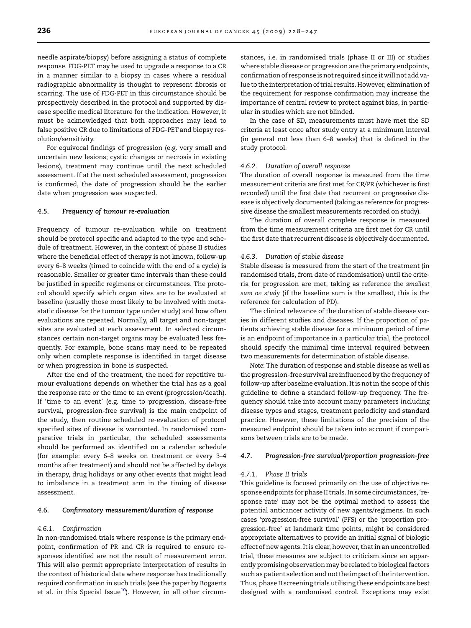needle aspirate/biopsy) before assigning a status of complete response. FDG-PET may be used to upgrade a response to a CR in a manner similar to a biopsy in cases where a residual radiographic abnormality is thought to represent fibrosis or scarring. The use of FDG-PET in this circumstance should be prospectively described in the protocol and supported by disease specific medical literature for the indication. However, it must be acknowledged that both approaches may lead to false positive CR due to limitations of FDG-PET and biopsy resolution/sensitivity.

For equivocal findings of progression (e.g. very small and uncertain new lesions; cystic changes or necrosis in existing lesions), treatment may continue until the next scheduled assessment. If at the next scheduled assessment, progression is confirmed, the date of progression should be the earlier date when progression was suspected.

#### 4.5. Frequency of tumour re-evaluation

Frequency of tumour re-evaluation while on treatment should be protocol specific and adapted to the type and schedule of treatment. However, in the context of phase II studies where the beneficial effect of therapy is not known, follow-up every 6–8 weeks (timed to coincide with the end of a cycle) is reasonable. Smaller or greater time intervals than these could be justified in specific regimens or circumstances. The protocol should specify which organ sites are to be evaluated at baseline (usually those most likely to be involved with metastatic disease for the tumour type under study) and how often evaluations are repeated. Normally, all target and non-target sites are evaluated at each assessment. In selected circumstances certain non-target organs may be evaluated less frequently. For example, bone scans may need to be repeated only when complete response is identified in target disease or when progression in bone is suspected.

After the end of the treatment, the need for repetitive tumour evaluations depends on whether the trial has as a goal the response rate or the time to an event (progression/death). If 'time to an event' (e.g. time to progression, disease-free survival, progression-free survival) is the main endpoint of the study, then routine scheduled re-evaluation of protocol specified sites of disease is warranted. In randomised comparative trials in particular, the scheduled assessments should be performed as identified on a calendar schedule (for example: every 6–8 weeks on treatment or every 3–4 months after treatment) and should not be affected by delays in therapy, drug holidays or any other events that might lead to imbalance in a treatment arm in the timing of disease assessment.

#### 4.6. Confirmatory measurement/duration of response

#### 4.6.1. Confirmation

In non-randomised trials where response is the primary endpoint, confirmation of PR and CR is required to ensure responses identified are not the result of measurement error. This will also permit appropriate interpretation of results in the context of historical data where response has traditionally required confirmation in such trials (see the paper by Bogaerts et al. in this Special Issue<sup>[10](#page-18-0)</sup>). However, in all other circumstances, i.e. in randomised trials (phase II or III) or studies where stable disease or progression are the primary endpoints, confirmation of response is not required since it will not add value to the interpretation of trial results. However, elimination of the requirement for response confirmation may increase the importance of central review to protect against bias, in particular in studies which are not blinded.

In the case of SD, measurements must have met the SD criteria at least once after study entry at a minimum interval (in general not less than 6–8 weeks) that is defined in the study protocol.

#### 4.6.2. Duration of overall response

The duration of overall response is measured from the time measurement criteria are first met for CR/PR (whichever is first recorded) until the first date that recurrent or progressive disease is objectively documented (taking as reference for progressive disease the smallest measurements recorded on study).

The duration of overall complete response is measured from the time measurement criteria are first met for CR until the first date that recurrent disease is objectively documented.

#### 4.6.3. Duration of stable disease

Stable disease is measured from the start of the treatment (in randomised trials, from date of randomisation) until the criteria for progression are met, taking as reference the smallest sum on study (if the baseline sum is the smallest, this is the reference for calculation of PD).

The clinical relevance of the duration of stable disease varies in different studies and diseases. If the proportion of patients achieving stable disease for a minimum period of time is an endpoint of importance in a particular trial, the protocol should specify the minimal time interval required between two measurements for determination of stable disease.

Note: The duration of response and stable disease as well as the progression-free survival are influenced by the frequency of follow-up after baseline evaluation. It is not in the scope of this guideline to define a standard follow-up frequency. The frequency should take into account many parameters including disease types and stages, treatment periodicity and standard practice. However, these limitations of the precision of the measured endpoint should be taken into account if comparisons between trials are to be made.

#### 4.7. Progression-free survival/proportion progression-free

#### 4.7.1. Phase II trials

This guideline is focused primarily on the use of objective response endpoints for phase II trials. In some circumstances, 'response rate' may not be the optimal method to assess the potential anticancer activity of new agents/regimens. In such cases 'progression-free survival' (PFS) or the 'proportion progression-free' at landmark time points, might be considered appropriate alternatives to provide an initial signal of biologic effect of new agents. It is clear, however, that in an uncontrolled trial, these measures are subject to criticism since an apparently promising observation may be related to biological factors such as patient selection and not the impact of the intervention. Thus, phase II screening trials utilising these endpoints are best designed with a randomised control. Exceptions may exist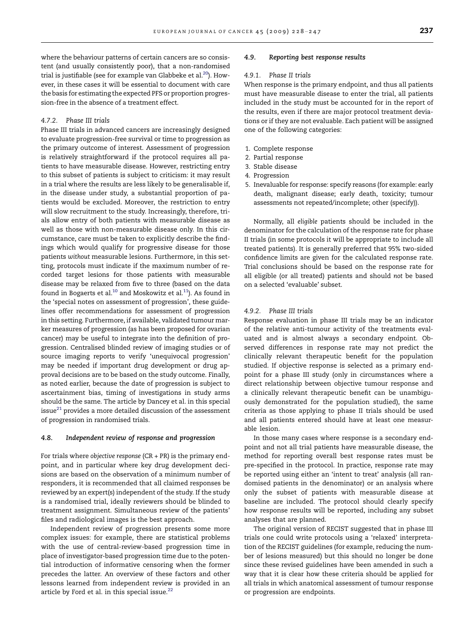where the behaviour patterns of certain cancers are so consistent (and usually consistently poor), that a non-randomised trial is justifiable (see for example van Glabbeke et al.<sup>[20](#page-19-0)</sup>). However, in these cases it will be essential to document with care the basis for estimating the expected PFS or proportion progression-free in the absence of a treatment effect.

## 4.7.2. Phase III trials

Phase III trials in advanced cancers are increasingly designed to evaluate progression-free survival or time to progression as the primary outcome of interest. Assessment of progression is relatively straightforward if the protocol requires all patients to have measurable disease. However, restricting entry to this subset of patients is subject to criticism: it may result in a trial where the results are less likely to be generalisable if, in the disease under study, a substantial proportion of patients would be excluded. Moreover, the restriction to entry will slow recruitment to the study. Increasingly, therefore, trials allow entry of both patients with measurable disease as well as those with non-measurable disease only. In this circumstance, care must be taken to explicitly describe the findings which would qualify for progressive disease for those patients without measurable lesions. Furthermore, in this setting, protocols must indicate if the maximum number of recorded target lesions for those patients with measurable disease may be relaxed from five to three (based on the data found in Bogaerts et al.<sup>10</sup> and Moskowitz et al.<sup>[11](#page-18-0)</sup>). As found in the 'special notes on assessment of progression', these guidelines offer recommendations for assessment of progression in this setting. Furthermore, if available, validated tumour marker measures of progression (as has been proposed for ovarian cancer) may be useful to integrate into the definition of progression. Centralised blinded review of imaging studies or of source imaging reports to verify 'unequivocal progression' may be needed if important drug development or drug approval decisions are to be based on the study outcome. Finally, as noted earlier, because the date of progression is subject to ascertainment bias, timing of investigations in study arms should be the same. The article by Dancey et al. in this special issue $^{21}$  $^{21}$  $^{21}$  provides a more detailed discussion of the assessment of progression in randomised trials.

#### 4.8. Independent review of response and progression

For trials where objective response  $(CR + PR)$  is the primary endpoint, and in particular where key drug development decisions are based on the observation of a minimum number of responders, it is recommended that all claimed responses be reviewed by an expert(s) independent of the study. If the study is a randomised trial, ideally reviewers should be blinded to treatment assignment. Simultaneous review of the patients' files and radiological images is the best approach.

Independent review of progression presents some more complex issues: for example, there are statistical problems with the use of central-review-based progression time in place of investigator-based progression time due to the potential introduction of informative censoring when the former precedes the latter. An overview of these factors and other lessons learned from independent review is provided in an article by Ford et al. in this special issue.<sup>22</sup>

#### 4.9. Reporting best response results

#### 4.9.1. Phase II trials

When response is the primary endpoint, and thus all patients must have measurable disease to enter the trial, all patients included in the study must be accounted for in the report of the results, even if there are major protocol treatment deviations or if they are not evaluable. Each patient will be assigned one of the following categories:

- 1. Complete response
- 2. Partial response
- 3. Stable disease
- 4. Progression
- 5. Inevaluable for response: specify reasons (for example: early death, malignant disease; early death, toxicity; tumour assessments not repeated/incomplete; other (specify)).

Normally, all eligible patients should be included in the denominator for the calculation of the response rate for phase II trials (in some protocols it will be appropriate to include all treated patients). It is generally preferred that 95% two-sided confidence limits are given for the calculated response rate. Trial conclusions should be based on the response rate for all eligible (or all treated) patients and should not be based on a selected 'evaluable' subset.

#### 4.9.2. Phase III trials

Response evaluation in phase III trials may be an indicator of the relative anti-tumour activity of the treatments evaluated and is almost always a secondary endpoint. Observed differences in response rate may not predict the clinically relevant therapeutic benefit for the population studied. If objective response is selected as a primary endpoint for a phase III study (only in circumstances where a direct relationship between objective tumour response and a clinically relevant therapeutic benefit can be unambiguously demonstrated for the population studied), the same criteria as those applying to phase II trials should be used and all patients entered should have at least one measurable lesion.

In those many cases where response is a secondary endpoint and not all trial patients have measurable disease, the method for reporting overall best response rates must be pre-specified in the protocol. In practice, response rate may be reported using either an 'intent to treat' analysis (all randomised patients in the denominator) or an analysis where only the subset of patients with measurable disease at baseline are included. The protocol should clearly specify how response results will be reported, including any subset analyses that are planned.

The original version of RECIST suggested that in phase III trials one could write protocols using a 'relaxed' interpretation of the RECIST guidelines (for example, reducing the number of lesions measured) but this should no longer be done since these revised guidelines have been amended in such a way that it is clear how these criteria should be applied for all trials in which anatomical assessment of tumour response or progression are endpoints.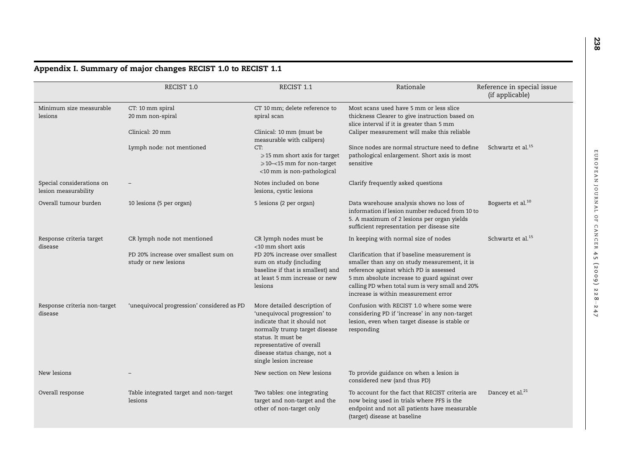## Appendix I. Summary of major changes RECIST 1.0 to RECIST 1.1

|                                                   | RECIST 1.0                                                   | RECIST 1.1                                                                                                                                                                                                                                | Rationale                                                                                                                                                                                                                                                                          | Reference in special issue<br>(if applicable) |
|---------------------------------------------------|--------------------------------------------------------------|-------------------------------------------------------------------------------------------------------------------------------------------------------------------------------------------------------------------------------------------|------------------------------------------------------------------------------------------------------------------------------------------------------------------------------------------------------------------------------------------------------------------------------------|-----------------------------------------------|
| Minimum size measurable<br>lesions                | CT: 10 mm spiral<br>20 mm non-spiral                         | CT 10 mm; delete reference to<br>spiral scan                                                                                                                                                                                              | Most scans used have 5 mm or less slice<br>thickness Clearer to give instruction based on<br>slice interval if it is greater than 5 mm                                                                                                                                             |                                               |
|                                                   | Clinical: 20 mm                                              | Clinical: 10 mm (must be<br>measurable with calipers)                                                                                                                                                                                     | Caliper measurement will make this reliable                                                                                                                                                                                                                                        |                                               |
|                                                   | Lymph node: not mentioned                                    | CT:<br>$\geqslant$ 15 mm short axis for target<br>$\geqslant$ 10-<15 mm for non-target<br><10 mm is non-pathological                                                                                                                      | Since nodes are normal structure need to define<br>pathological enlargement. Short axis is most<br>sensitive                                                                                                                                                                       | Schwartz et al. <sup>15</sup>                 |
| Special considerations on<br>lesion measurability |                                                              | Notes included on bone<br>lesions, cystic lesions                                                                                                                                                                                         | Clarify frequently asked questions                                                                                                                                                                                                                                                 |                                               |
| Overall tumour burden                             | 10 lesions (5 per organ)                                     | 5 lesions (2 per organ)                                                                                                                                                                                                                   | Data warehouse analysis shows no loss of<br>information if lesion number reduced from 10 to<br>5. A maximum of 2 lesions per organ yields<br>sufficient representation per disease site                                                                                            | Bogaerts et al. <sup>10</sup>                 |
| Response criteria target<br>disease               | CR lymph node not mentioned                                  | CR lymph nodes must be<br>$<$ 10 mm short axis                                                                                                                                                                                            | In keeping with normal size of nodes                                                                                                                                                                                                                                               | Schwartz et al. <sup>15</sup>                 |
|                                                   | PD 20% increase over smallest sum on<br>study or new lesions | PD 20% increase over smallest<br>sum on study (including<br>baseline if that is smallest) and<br>at least 5 mm increase or new<br>lesions                                                                                                 | Clarification that if baseline measurement is<br>smaller than any on study measurement, it is<br>reference against which PD is assessed<br>5 mm absolute increase to guard against over<br>calling PD when total sum is very small and 20%<br>increase is within measurement error |                                               |
| Response criteria non-target<br>disease           | 'unequivocal progression' considered as PD                   | More detailed description of<br>'unequivocal progression' to<br>indicate that it should not<br>normally trump target disease<br>status. It must be<br>representative of overall<br>disease status change, not a<br>single lesion increase | Confusion with RECIST 1.0 where some were<br>considering PD if 'increase' in any non-target<br>lesion, even when target disease is stable or<br>responding                                                                                                                         |                                               |
| New lesions                                       |                                                              | New section on New lesions                                                                                                                                                                                                                | To provide guidance on when a lesion is<br>considered new (and thus PD)                                                                                                                                                                                                            |                                               |
| Overall response                                  | Table integrated target and non-target<br>lesions            | Two tables: one integrating<br>target and non-target and the<br>other of non-target only                                                                                                                                                  | To account for the fact that RECIST criteria are<br>now being used in trials where PFS is the<br>endpoint and not all patients have measurable<br>(target) disease at baseline                                                                                                     | Dancey et al. <sup>21</sup>                   |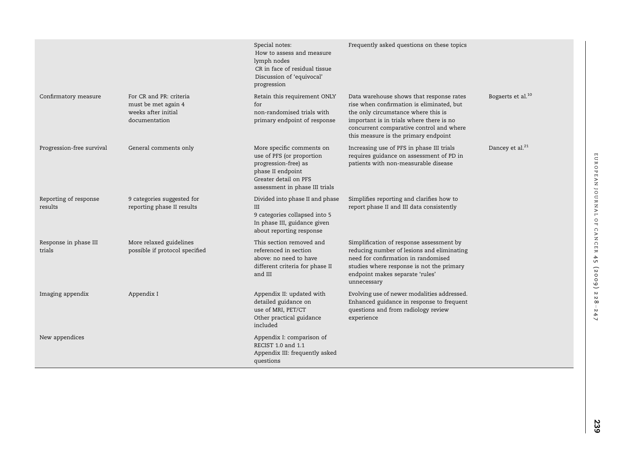|                                  |                                                                                        | Special notes:<br>How to assess and measure<br>lymph nodes<br>CR in face of residual tissue<br>Discussion of 'equivocal'<br>progression                        | Frequently asked questions on these topics                                                                                                                                                                                                                   |                               |
|----------------------------------|----------------------------------------------------------------------------------------|----------------------------------------------------------------------------------------------------------------------------------------------------------------|--------------------------------------------------------------------------------------------------------------------------------------------------------------------------------------------------------------------------------------------------------------|-------------------------------|
| Confirmatory measure             | For CR and PR: criteria<br>must be met again 4<br>weeks after initial<br>documentation | Retain this requirement ONLY<br>for<br>non-randomised trials with<br>primary endpoint of response                                                              | Data warehouse shows that response rates<br>rise when confirmation is eliminated, but<br>the only circumstance where this is<br>important is in trials where there is no<br>concurrent comparative control and where<br>this measure is the primary endpoint | Bogaerts et al. <sup>10</sup> |
| Progression-free survival        | General comments only                                                                  | More specific comments on<br>use of PFS (or proportion<br>progression-free) as<br>phase II endpoint<br>Greater detail on PFS<br>assessment in phase III trials | Increasing use of PFS in phase III trials<br>requires guidance on assessment of PD in<br>patients with non-measurable disease                                                                                                                                | Dancey et al. <sup>21</sup>   |
| Reporting of response<br>results | 9 categories suggested for<br>reporting phase II results                               | Divided into phase II and phase<br>III<br>9 categories collapsed into 5<br>In phase III, guidance given<br>about reporting response                            | Simplifies reporting and clarifies how to<br>report phase II and III data consistently                                                                                                                                                                       |                               |
| Response in phase III<br>trials  | More relaxed guidelines<br>possible if protocol specified                              | This section removed and<br>referenced in section<br>above: no need to have<br>different criteria for phase II<br>and III                                      | Simplification of response assessment by<br>reducing number of lesions and eliminating<br>need for confirmation in randomised<br>studies where response is not the primary<br>endpoint makes separate 'rules'<br>unnecessary                                 |                               |
| Imaging appendix                 | Appendix I                                                                             | Appendix II: updated with<br>detailed guidance on<br>use of MRI, PET/CT<br>Other practical guidance<br>included                                                | Evolving use of newer modalities addressed.<br>Enhanced guidance in response to frequent<br>questions and from radiology review<br>experience                                                                                                                |                               |
| New appendices                   |                                                                                        | Appendix I: comparison of<br>RECIST 1.0 and 1.1<br>Appendix III: frequently asked<br>questions                                                                 |                                                                                                                                                                                                                                                              |                               |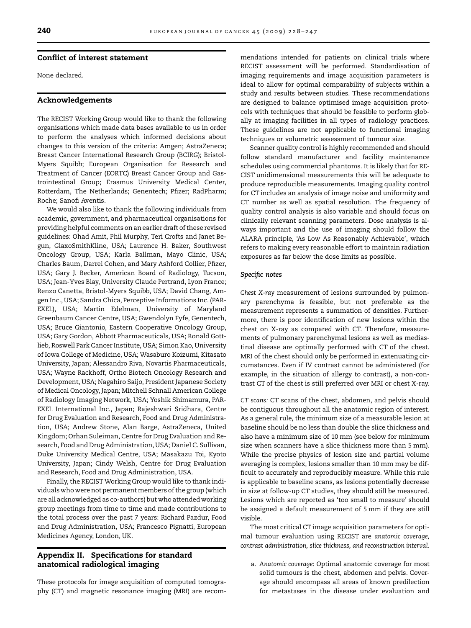## Conflict of interest statement

None declared.

#### Acknowledgements

The RECIST Working Group would like to thank the following organisations which made data bases available to us in order to perform the analyses which informed decisions about changes to this version of the criteria: Amgen; AstraZeneca; Breast Cancer International Research Group (BCIRG); Bristol-Myers Squibb; European Organisation for Research and Treatment of Cancer (EORTC) Breast Cancer Group and Gastrointestinal Group; Erasmus University Medical Center, Rotterdam, The Netherlands; Genentech; Pfizer; RadPharm; Roche; Sanofi Aventis.

We would also like to thank the following individuals from academic, government, and pharmaceutical organisations for providing helpful comments on an earlier draft of these revised guidelines: Ohad Amit, Phil Murphy, Teri Crofts and Janet Begun, GlaxoSmithKline, USA; Laurence H. Baker, Southwest Oncology Group, USA; Karla Ballman, Mayo Clinic, USA; Charles Baum, Darrel Cohen, and Mary Ashford Collier, Pfizer, USA; Gary J. Becker, American Board of Radiology, Tucson, USA; Jean-Yves Blay, University Claude Pertrand, Lyon France; Renzo Canetta, Bristol-Myers Squibb, USA; David Chang, Amgen Inc., USA; Sandra Chica, Perceptive Informations Inc. (PAR-EXEL), USA; Martin Edelman, University of Maryland Greenbaum Cancer Centre, USA; Gwendolyn Fyfe, Genentech, USA; Bruce Giantonio, Eastern Cooperative Oncology Group, USA; Gary Gordon, Abbott Pharmaceuticals, USA; Ronald Gottlieb, Roswell Park Cancer Institute, USA; Simon Kao, University of Iowa College of Medicine, USA; Wasaburo Koizumi, Kitasato University, Japan; Alessandro Riva, Novartis Pharmaceuticals, USA; Wayne Rackhoff, Ortho Biotech Oncology Research and Development, USA; Nagahiro Saijo, President Japanese Society of Medical Oncology, Japan; Mitchell Schnall American College of Radiology Imaging Network, USA; Yoshik Shimamura, PAR-EXEL International Inc., Japan; Rajeshwari Sridhara, Centre for Drug Evaluation and Research, Food and Drug Administration, USA; Andrew Stone, Alan Barge, AstraZeneca, United Kingdom; Orhan Suleiman, Centre for Drug Evaluation and Research, Food and Drug Administration, USA; Daniel C. Sullivan, Duke University Medical Centre, USA; Masakazu Toi, Kyoto University, Japan; Cindy Welsh, Centre for Drug Evaluation and Research, Food and Drug Administration, USA.

Finally, the RECIST Working Group would like to thank individuals who were not permanent members of the group (which are all acknowledged as co-authors) but who attended working group meetings from time to time and made contributions to the total process over the past 7 years: Richard Pazdur, Food and Drug Administration, USA; Francesco Pignatti, European Medicines Agency, London, UK.

## Appendix II. Specifications for standard anatomical radiological imaging

These protocols for image acquisition of computed tomography (CT) and magnetic resonance imaging (MRI) are recommendations intended for patients on clinical trials where RECIST assessment will be performed. Standardisation of imaging requirements and image acquisition parameters is ideal to allow for optimal comparability of subjects within a study and results between studies. These recommendations are designed to balance optimised image acquisition protocols with techniques that should be feasible to perform globally at imaging facilities in all types of radiology practices. These guidelines are not applicable to functional imaging techniques or volumetric assessment of tumour size.

Scanner quality control is highly recommended and should follow standard manufacturer and facility maintenance schedules using commercial phantoms. It is likely that for RE-CIST unidimensional measurements this will be adequate to produce reproducible measurements. Imaging quality control for CT includes an analysis of image noise and uniformity and CT number as well as spatial resolution. The frequency of quality control analysis is also variable and should focus on clinically relevant scanning parameters. Dose analysis is always important and the use of imaging should follow the ALARA principle, 'As Low As Reasonably Achievable', which refers to making every reasonable effort to maintain radiation exposures as far below the dose limits as possible.

#### Specific notes

Chest X-ray measurement of lesions surrounded by pulmonary parenchyma is feasible, but not preferable as the measurement represents a summation of densities. Furthermore, there is poor identification of new lesions within the chest on X-ray as compared with CT. Therefore, measurements of pulmonary parenchymal lesions as well as mediastinal disease are optimally performed with CT of the chest. MRI of the chest should only be performed in extenuating circumstances. Even if IV contrast cannot be administered (for example, in the situation of allergy to contrast), a non-contrast CT of the chest is still preferred over MRI or chest X-ray.

CT scans: CT scans of the chest, abdomen, and pelvis should be contiguous throughout all the anatomic region of interest. As a general rule, the minimum size of a measurable lesion at baseline should be no less than double the slice thickness and also have a minimum size of 10 mm (see below for minimum size when scanners have a slice thickness more than 5 mm). While the precise physics of lesion size and partial volume averaging is complex, lesions smaller than 10 mm may be difficult to accurately and reproducibly measure. While this rule is applicable to baseline scans, as lesions potentially decrease in size at follow-up CT studies, they should still be measured. Lesions which are reported as 'too small to measure' should be assigned a default measurement of 5 mm if they are still visible.

The most critical CT image acquisition parameters for optimal tumour evaluation using RECIST are anatomic coverage, contrast administration, slice thickness, and reconstruction interval.

a. Anatomic coverage: Optimal anatomic coverage for most solid tumours is the chest, abdomen and pelvis. Coverage should encompass all areas of known predilection for metastases in the disease under evaluation and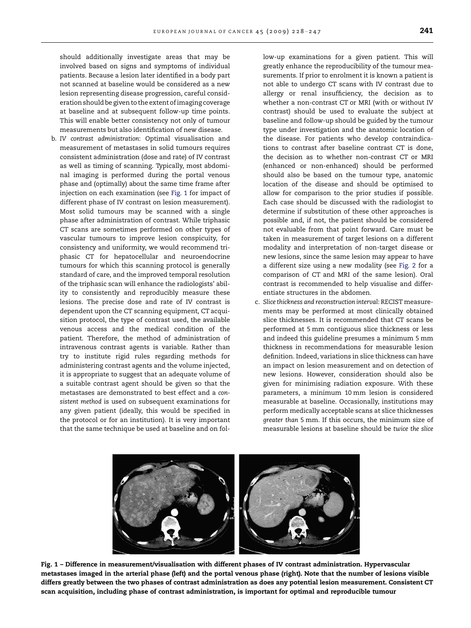should additionally investigate areas that may be involved based on signs and symptoms of individual patients. Because a lesion later identified in a body part not scanned at baseline would be considered as a new lesion representing disease progression, careful consideration should be given to the extent of imaging coverage at baseline and at subsequent follow-up time points. This will enable better consistency not only of tumour measurements but also identification of new disease.

b. IV contrast administration: Optimal visualisation and measurement of metastases in solid tumours requires consistent administration (dose and rate) of IV contrast as well as timing of scanning. Typically, most abdominal imaging is performed during the portal venous phase and (optimally) about the same time frame after injection on each examination (see Fig. 1 for impact of different phase of IV contrast on lesion measurement). Most solid tumours may be scanned with a single phase after administration of contrast. While triphasic CT scans are sometimes performed on other types of vascular tumours to improve lesion conspicuity, for consistency and uniformity, we would recommend triphasic CT for hepatocellular and neuroendocrine tumours for which this scanning protocol is generally standard of care, and the improved temporal resolution of the triphasic scan will enhance the radiologists' ability to consistently and reproducibly measure these lesions. The precise dose and rate of IV contrast is dependent upon the CT scanning equipment, CT acquisition protocol, the type of contrast used, the available venous access and the medical condition of the patient. Therefore, the method of administration of intravenous contrast agents is variable. Rather than try to institute rigid rules regarding methods for administering contrast agents and the volume injected, it is appropriate to suggest that an adequate volume of a suitable contrast agent should be given so that the metastases are demonstrated to best effect and a consistent method is used on subsequent examinations for any given patient (ideally, this would be specified in the protocol or for an institution). It is very important that the same technique be used at baseline and on follow-up examinations for a given patient. This will greatly enhance the reproducibility of the tumour measurements. If prior to enrolment it is known a patient is not able to undergo CT scans with IV contrast due to allergy or renal insufficiency, the decision as to whether a non-contrast CT or MRI (with or without IV contrast) should be used to evaluate the subject at baseline and follow-up should be guided by the tumour type under investigation and the anatomic location of the disease. For patients who develop contraindications to contrast after baseline contrast CT is done, the decision as to whether non-contrast CT or MRI (enhanced or non-enhanced) should be performed should also be based on the tumour type, anatomic location of the disease and should be optimised to allow for comparison to the prior studies if possible. Each case should be discussed with the radiologist to determine if substitution of these other approaches is possible and, if not, the patient should be considered not evaluable from that point forward. Care must be taken in measurement of target lesions on a different modality and interpretation of non-target disease or new lesions, since the same lesion may appear to have a different size using a new modality (see [Fig. 2](#page-14-0) for a comparison of CT and MRI of the same lesion). Oral contrast is recommended to help visualise and differentiate structures in the abdomen.

c. Slice thickness and reconstruction interval: RECIST measurements may be performed at most clinically obtained slice thicknesses. It is recommended that CT scans be performed at 5 mm contiguous slice thickness or less and indeed this guideline presumes a minimum 5 mm thickness in recommendations for measurable lesion definition. Indeed, variations in slice thickness can have an impact on lesion measurement and on detection of new lesions. However, consideration should also be given for minimising radiation exposure. With these parameters, a minimum 10 mm lesion is considered measurable at baseline. Occasionally, institutions may perform medically acceptable scans at slice thicknesses greater than 5 mm. If this occurs, the minimum size of measurable lesions at baseline should be twice the slice



Fig. 1 – Difference in measurement/visualisation with different phases of IV contrast administration. Hypervascular metastases imaged in the arterial phase (left) and the portal venous phase (right). Note that the number of lesions visible differs greatly between the two phases of contrast administration as does any potential lesion measurement. Consistent CT scan acquisition, including phase of contrast administration, is important for optimal and reproducible tumour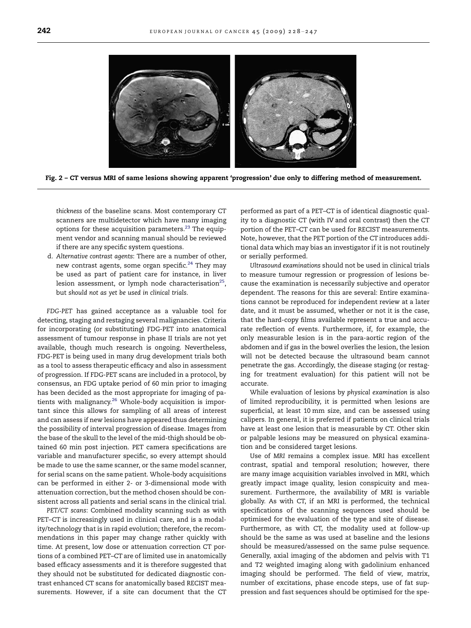<span id="page-14-0"></span>

Fig. 2 – CT versus MRI of same lesions showing apparent 'progression' due only to differing method of measurement.

thickness of the baseline scans. Most contemporary CT scanners are multidetector which have many imaging options for these acquisition parameters. $23$  The equipment vendor and scanning manual should be reviewed if there are any specific system questions.

d. Alternative contrast agents: There are a number of other, new contrast agents, some organ specific.<sup>[24](#page-19-0)</sup> They may be used as part of patient care for instance, in liver lesion assessment, or lymph node characterisation<sup>[25](#page-19-0)</sup>, but should not as yet be used in clinical trials.

FDG-PET has gained acceptance as a valuable tool for detecting, staging and restaging several malignancies. Criteria for incorporating (or substituting) FDG-PET into anatomical assessment of tumour response in phase II trials are not yet available, though much research is ongoing. Nevertheless, FDG-PET is being used in many drug development trials both as a tool to assess therapeutic efficacy and also in assessment of progression. If FDG-PET scans are included in a protocol, by consensus, an FDG uptake period of 60 min prior to imaging has been decided as the most appropriate for imaging of pa-tients with malignancy.<sup>[26](#page-19-0)</sup> Whole-body acquisition is important since this allows for sampling of all areas of interest and can assess if new lesions have appeared thus determining the possibility of interval progression of disease. Images from the base of the skull to the level of the mid-thigh should be obtained 60 min post injection. PET camera specifications are variable and manufacturer specific, so every attempt should be made to use the same scanner, or the same model scanner, for serial scans on the same patient. Whole-body acquisitions can be performed in either 2- or 3-dimensional mode with attenuation correction, but the method chosen should be consistent across all patients and serial scans in the clinical trial.

PET/CT scans: Combined modality scanning such as with PET–CT is increasingly used in clinical care, and is a modality/technology that is in rapid evolution; therefore, the recommendations in this paper may change rather quickly with time. At present, low dose or attenuation correction CT portions of a combined PET–CT are of limited use in anatomically based efficacy assessments and it is therefore suggested that they should not be substituted for dedicated diagnostic contrast enhanced CT scans for anatomically based RECIST measurements. However, if a site can document that the CT

performed as part of a PET–CT is of identical diagnostic quality to a diagnostic CT (with IV and oral contrast) then the CT portion of the PET–CT can be used for RECIST measurements. Note, however, that the PET portion of the CT introduces additional data which may bias an investigator if it is not routinely or serially performed.

Ultrasound examinations should not be used in clinical trials to measure tumour regression or progression of lesions because the examination is necessarily subjective and operator dependent. The reasons for this are several: Entire examinations cannot be reproduced for independent review at a later date, and it must be assumed, whether or not it is the case, that the hard-copy films available represent a true and accurate reflection of events. Furthermore, if, for example, the only measurable lesion is in the para-aortic region of the abdomen and if gas in the bowel overlies the lesion, the lesion will not be detected because the ultrasound beam cannot penetrate the gas. Accordingly, the disease staging (or restaging for treatment evaluation) for this patient will not be accurate.

While evaluation of lesions by physical examination is also of limited reproducibility, it is permitted when lesions are superficial, at least 10 mm size, and can be assessed using calipers. In general, it is preferred if patients on clinical trials have at least one lesion that is measurable by CT. Other skin or palpable lesions may be measured on physical examination and be considered target lesions.

Use of MRI remains a complex issue. MRI has excellent contrast, spatial and temporal resolution; however, there are many image acquisition variables involved in MRI, which greatly impact image quality, lesion conspicuity and measurement. Furthermore, the availability of MRI is variable globally. As with CT, if an MRI is performed, the technical specifications of the scanning sequences used should be optimised for the evaluation of the type and site of disease. Furthermore, as with CT, the modality used at follow-up should be the same as was used at baseline and the lesions should be measured/assessed on the same pulse sequence. Generally, axial imaging of the abdomen and pelvis with T1 and T2 weighted imaging along with gadolinium enhanced imaging should be performed. The field of view, matrix, number of excitations, phase encode steps, use of fat suppression and fast sequences should be optimised for the spe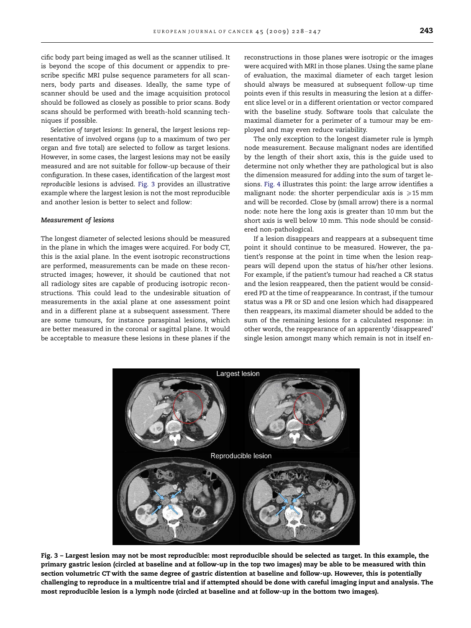cific body part being imaged as well as the scanner utilised. It is beyond the scope of this document or appendix to prescribe specific MRI pulse sequence parameters for all scanners, body parts and diseases. Ideally, the same type of scanner should be used and the image acquisition protocol should be followed as closely as possible to prior scans. Body scans should be performed with breath-hold scanning techniques if possible.

Selection of target lesions: In general, the largest lesions representative of involved organs (up to a maximum of two per organ and five total) are selected to follow as target lesions. However, in some cases, the largest lesions may not be easily measured and are not suitable for follow-up because of their configuration. In these cases, identification of the largest most reproducible lesions is advised. Fig. 3 provides an illustrative example where the largest lesion is not the most reproducible and another lesion is better to select and follow:

#### Measurement of lesions

The longest diameter of selected lesions should be measured in the plane in which the images were acquired. For body CT, this is the axial plane. In the event isotropic reconstructions are performed, measurements can be made on these reconstructed images; however, it should be cautioned that not all radiology sites are capable of producing isotropic reconstructions. This could lead to the undesirable situation of measurements in the axial plane at one assessment point and in a different plane at a subsequent assessment. There are some tumours, for instance paraspinal lesions, which are better measured in the coronal or sagittal plane. It would be acceptable to measure these lesions in these planes if the

reconstructions in those planes were isotropic or the images were acquired with MRI in those planes. Using the same plane of evaluation, the maximal diameter of each target lesion should always be measured at subsequent follow-up time points even if this results in measuring the lesion at a different slice level or in a different orientation or vector compared with the baseline study. Software tools that calculate the maximal diameter for a perimeter of a tumour may be employed and may even reduce variability.

The only exception to the longest diameter rule is lymph node measurement. Because malignant nodes are identified by the length of their short axis, this is the guide used to determine not only whether they are pathological but is also the dimension measured for adding into the sum of target lesions. [Fig. 4](#page-16-0) illustrates this point: the large arrow identifies a malignant node: the shorter perpendicular axis is  $\geq 15$  mm and will be recorded. Close by (small arrow) there is a normal node: note here the long axis is greater than 10 mm but the short axis is well below 10 mm. This node should be considered non-pathological.

If a lesion disappears and reappears at a subsequent time point it should continue to be measured. However, the patient's response at the point in time when the lesion reappears will depend upon the status of his/her other lesions. For example, if the patient's tumour had reached a CR status and the lesion reappeared, then the patient would be considered PD at the time of reappearance. In contrast, if the tumour status was a PR or SD and one lesion which had disappeared then reappears, its maximal diameter should be added to the sum of the remaining lesions for a calculated response: in other words, the reappearance of an apparently 'disappeared' single lesion amongst many which remain is not in itself en-



Fig. 3 – Largest lesion may not be most reproducible: most reproducible should be selected as target. In this example, the primary gastric lesion (circled at baseline and at follow-up in the top two images) may be able to be measured with thin section volumetric CT with the same degree of gastric distention at baseline and follow-up. However, this is potentially challenging to reproduce in a multicentre trial and if attempted should be done with careful imaging input and analysis. The most reproducible lesion is a lymph node (circled at baseline and at follow-up in the bottom two images).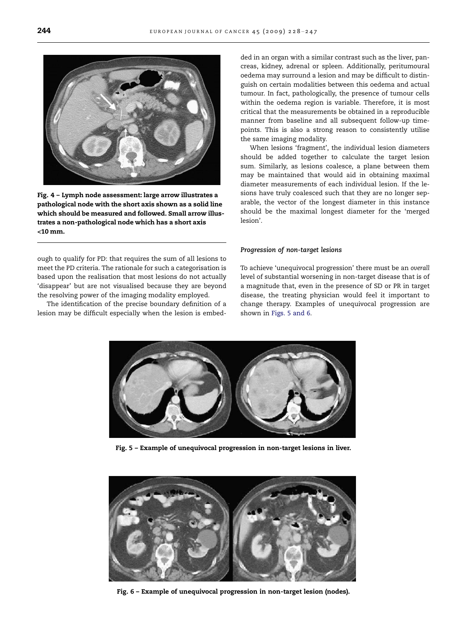<span id="page-16-0"></span>

Fig. 4 – Lymph node assessment: large arrow illustrates a pathological node with the short axis shown as a solid line which should be measured and followed. Small arrow illustrates a non-pathological node which has a short axis  $< 10$  mm.

ough to qualify for PD: that requires the sum of all lesions to meet the PD criteria. The rationale for such a categorisation is based upon the realisation that most lesions do not actually 'disappear' but are not visualised because they are beyond the resolving power of the imaging modality employed.

The identification of the precise boundary definition of a lesion may be difficult especially when the lesion is embedded in an organ with a similar contrast such as the liver, pancreas, kidney, adrenal or spleen. Additionally, peritumoural oedema may surround a lesion and may be difficult to distinguish on certain modalities between this oedema and actual tumour. In fact, pathologically, the presence of tumour cells within the oedema region is variable. Therefore, it is most critical that the measurements be obtained in a reproducible manner from baseline and all subsequent follow-up timepoints. This is also a strong reason to consistently utilise the same imaging modality.

When lesions 'fragment', the individual lesion diameters should be added together to calculate the target lesion sum. Similarly, as lesions coalesce, a plane between them may be maintained that would aid in obtaining maximal diameter measurements of each individual lesion. If the lesions have truly coalesced such that they are no longer separable, the vector of the longest diameter in this instance should be the maximal longest diameter for the 'merged lesion'.

## Progression of non-target lesions

To achieve 'unequivocal progression' there must be an overall level of substantial worsening in non-target disease that is of a magnitude that, even in the presence of SD or PR in target disease, the treating physician would feel it important to change therapy. Examples of unequivocal progression are shown in Figs. 5 and 6.



Fig. 5 – Example of unequivocal progression in non-target lesions in liver.



Fig. 6 – Example of unequivocal progression in non-target lesion (nodes).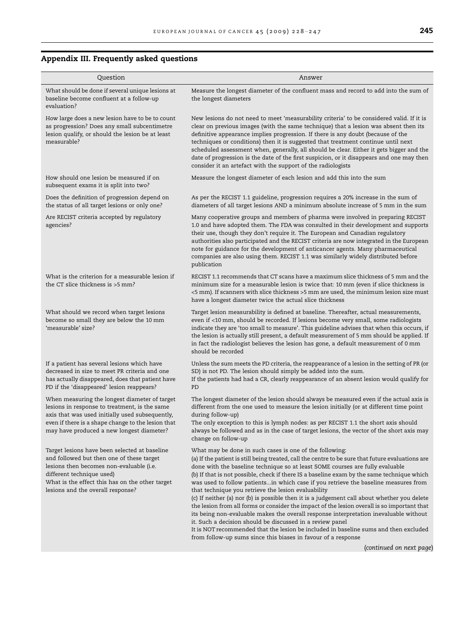## Appendix III. Frequently asked questions

| Question                                                                                                                                                                                                                                                    | Answer                                                                                                                                                                                                                                                                                                                                                                                                                                                                                                                                                                                                                                                                                                                                                                                                                                                                                                                                                                                                                             |
|-------------------------------------------------------------------------------------------------------------------------------------------------------------------------------------------------------------------------------------------------------------|------------------------------------------------------------------------------------------------------------------------------------------------------------------------------------------------------------------------------------------------------------------------------------------------------------------------------------------------------------------------------------------------------------------------------------------------------------------------------------------------------------------------------------------------------------------------------------------------------------------------------------------------------------------------------------------------------------------------------------------------------------------------------------------------------------------------------------------------------------------------------------------------------------------------------------------------------------------------------------------------------------------------------------|
| What should be done if several unique lesions at<br>baseline become confluent at a follow-up<br>evaluation?                                                                                                                                                 | Measure the longest diameter of the confluent mass and record to add into the sum of<br>the longest diameters                                                                                                                                                                                                                                                                                                                                                                                                                                                                                                                                                                                                                                                                                                                                                                                                                                                                                                                      |
| How large does a new lesion have to be to count<br>as progression? Does any small subcentimetre<br>lesion qualify, or should the lesion be at least<br>measurable?                                                                                          | New lesions do not need to meet 'measurability criteria' to be considered valid. If it is<br>clear on previous images (with the same technique) that a lesion was absent then its<br>definitive appearance implies progression. If there is any doubt (because of the<br>techniques or conditions) then it is suggested that treatment continue until next<br>scheduled assessment when, generally, all should be clear. Either it gets bigger and the<br>date of progression is the date of the first suspicion, or it disappears and one may then<br>consider it an artefact with the support of the radiologists                                                                                                                                                                                                                                                                                                                                                                                                                |
| How should one lesion be measured if on<br>subsequent exams it is split into two?                                                                                                                                                                           | Measure the longest diameter of each lesion and add this into the sum                                                                                                                                                                                                                                                                                                                                                                                                                                                                                                                                                                                                                                                                                                                                                                                                                                                                                                                                                              |
| Does the definition of progression depend on<br>the status of all target lesions or only one?                                                                                                                                                               | As per the RECIST 1.1 guideline, progression requires a 20% increase in the sum of<br>diameters of all target lesions AND a minimum absolute increase of 5 mm in the sum                                                                                                                                                                                                                                                                                                                                                                                                                                                                                                                                                                                                                                                                                                                                                                                                                                                           |
| Are RECIST criteria accepted by regulatory<br>agencies?                                                                                                                                                                                                     | Many cooperative groups and members of pharma were involved in preparing RECIST<br>1.0 and have adopted them. The FDA was consulted in their development and supports<br>their use, though they don't require it. The European and Canadian regulatory<br>authorities also participated and the RECIST criteria are now integrated in the European<br>note for guidance for the development of anticancer agents. Many pharmaceutical<br>companies are also using them. RECIST 1.1 was similarly widely distributed before<br>publication                                                                                                                                                                                                                                                                                                                                                                                                                                                                                          |
| What is the criterion for a measurable lesion if<br>the CT slice thickness is $>5$ mm?                                                                                                                                                                      | RECIST 1.1 recommends that CT scans have a maximum slice thickness of 5 mm and the<br>minimum size for a measurable lesion is twice that: 10 mm (even if slice thickness is<br><5 mm). If scanners with slice thickness >5 mm are used, the minimum lesion size must<br>have a longest diameter twice the actual slice thickness                                                                                                                                                                                                                                                                                                                                                                                                                                                                                                                                                                                                                                                                                                   |
| What should we record when target lesions<br>become so small they are below the 10 mm<br>'measurable' size?                                                                                                                                                 | Target lesion measurability is defined at baseline. Thereafter, actual measurements,<br>even if <10 mm, should be recorded. If lesions become very small, some radiologists<br>indicate they are 'too small to measure'. This guideline advises that when this occurs, if<br>the lesion is actually still present, a default measurement of 5 mm should be applied. If<br>in fact the radiologist believes the lesion has gone, a default measurement of 0 mm<br>should be recorded                                                                                                                                                                                                                                                                                                                                                                                                                                                                                                                                                |
| If a patient has several lesions which have<br>decreased in size to meet PR criteria and one<br>has actually disappeared, does that patient have<br>PD if the 'disappeared' lesion reappears?                                                               | Unless the sum meets the PD criteria, the reappearance of a lesion in the setting of PR (or<br>SD) is not PD. The lesion should simply be added into the sum.<br>If the patients had had a CR, clearly reappearance of an absent lesion would qualify for<br><b>PD</b>                                                                                                                                                                                                                                                                                                                                                                                                                                                                                                                                                                                                                                                                                                                                                             |
| When measuring the longest diameter of target<br>lesions in response to treatment, is the same<br>axis that was used initially used subsequently,<br>even if there is a shape change to the lesion that<br>may have produced a new longest diameter?        | The longest diameter of the lesion should always be measured even if the actual axis is<br>different from the one used to measure the lesion initially (or at different time point<br>during follow-up)<br>The only exception to this is lymph nodes: as per RECIST 1.1 the short axis should<br>always be followed and as in the case of target lesions, the vector of the short axis may<br>change on follow-up                                                                                                                                                                                                                                                                                                                                                                                                                                                                                                                                                                                                                  |
| Target lesions have been selected at baseline<br>and followed but then one of these target<br>lesions then becomes non-evaluable (i.e.<br>different technique used)<br>What is the effect this has on the other target<br>lesions and the overall response? | What may be done in such cases is one of the following:<br>(a) If the patient is still being treated, call the centre to be sure that future evaluations are<br>done with the baseline technique so at least SOME courses are fully evaluable<br>(b) If that is not possible, check if there IS a baseline exam by the same technique which<br>was used to follow patientsin which case if you retrieve the baseline measures from<br>that technique you retrieve the lesion evaluability<br>(c) If neither (a) nor (b) is possible then it is a judgement call about whether you delete<br>the lesion from all forms or consider the impact of the lesion overall is so important that<br>its being non-evaluable makes the overall response interpretation inevaluable without<br>it. Such a decision should be discussed in a review panel<br>It is NOT recommended that the lesion be included in baseline sums and then excluded<br>from follow-up sums since this biases in favour of a response<br>(continued on next page) |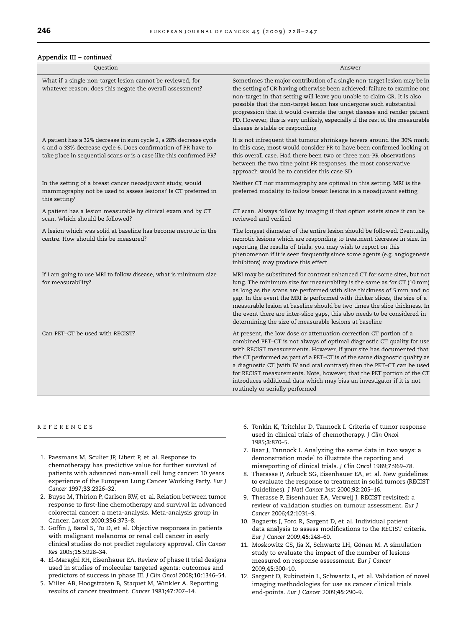#### <span id="page-18-0"></span>Appendix III – continued

| Question                                                                                                                                                                                                  | Answer                                                                                                                                                                                                                                                                                                                                                                                                                                                                                                                                                             |
|-----------------------------------------------------------------------------------------------------------------------------------------------------------------------------------------------------------|--------------------------------------------------------------------------------------------------------------------------------------------------------------------------------------------------------------------------------------------------------------------------------------------------------------------------------------------------------------------------------------------------------------------------------------------------------------------------------------------------------------------------------------------------------------------|
| What if a single non-target lesion cannot be reviewed, for<br>whatever reason; does this negate the overall assessment?                                                                                   | Sometimes the major contribution of a single non-target lesion may be in<br>the setting of CR having otherwise been achieved: failure to examine one<br>non-target in that setting will leave you unable to claim CR. It is also<br>possible that the non-target lesion has undergone such substantial<br>progression that it would override the target disease and render patient<br>PD. However, this is very unlikely, especially if the rest of the measurable<br>disease is stable or responding                                                              |
| A patient has a 32% decrease in sum cycle 2, a 28% decrease cycle<br>4 and a 33% decrease cycle 6. Does confirmation of PR have to<br>take place in sequential scans or is a case like this confirmed PR? | It is not infrequent that tumour shrinkage hovers around the 30% mark.<br>In this case, most would consider PR to have been confirmed looking at<br>this overall case. Had there been two or three non-PR observations<br>between the two time point PR responses, the most conservative<br>approach would be to consider this case SD                                                                                                                                                                                                                             |
| In the setting of a breast cancer neoadjuvant study, would<br>mammography not be used to assess lesions? Is CT preferred in<br>this setting?                                                              | Neither CT nor mammography are optimal in this setting. MRI is the<br>preferred modality to follow breast lesions in a neoadjuvant setting                                                                                                                                                                                                                                                                                                                                                                                                                         |
| A patient has a lesion measurable by clinical exam and by CT<br>scan. Which should be followed?                                                                                                           | CT scan. Always follow by imaging if that option exists since it can be<br>reviewed and verified                                                                                                                                                                                                                                                                                                                                                                                                                                                                   |
| A lesion which was solid at baseline has become necrotic in the<br>centre. How should this be measured?                                                                                                   | The longest diameter of the entire lesion should be followed. Eventually,<br>necrotic lesions which are responding to treatment decrease in size. In<br>reporting the results of trials, you may wish to report on this<br>phenomenon if it is seen frequently since some agents (e.g. angiogenesis<br>inhibitors) may produce this effect                                                                                                                                                                                                                         |
| If I am going to use MRI to follow disease, what is minimum size<br>for measurability?                                                                                                                    | MRI may be substituted for contrast enhanced CT for some sites, but not<br>lung. The minimum size for measurability is the same as for CT (10 mm)<br>as long as the scans are performed with slice thickness of 5 mm and no<br>gap. In the event the MRI is performed with thicker slices, the size of a<br>measurable lesion at baseline should be two times the slice thickness. In<br>the event there are inter-slice gaps, this also needs to be considered in<br>determining the size of measurable lesions at baseline                                       |
| Can PET-CT be used with RECIST?                                                                                                                                                                           | At present, the low dose or attenuation correction CT portion of a<br>combined PET-CT is not always of optimal diagnostic CT quality for use<br>with RECIST measurements. However, if your site has documented that<br>the CT performed as part of a PET-CT is of the same diagnostic quality as<br>a diagnostic CT (with IV and oral contrast) then the PET-CT can be used<br>for RECIST measurements. Note, however, that the PET portion of the CT<br>introduces additional data which may bias an investigator if it is not<br>routinely or serially performed |

#### REFERENCES

- 1. Paesmans M, Sculier JP, Libert P, et al. Response to chemotherapy has predictive value for further survival of patients with advanced non-small cell lung cancer: 10 years experience of the European Lung Cancer Working Party. Eur J Cancer 1997;33:2326–32.
- 2. Buyse M, Thirion P, Carlson RW, et al. Relation between tumor response to first-line chemotherapy and survival in advanced colorectal cancer: a meta-analysis. Meta-analysis group in Cancer. Lancet 2000;356:373–8.
- 3. Goffin J, Baral S, Tu D, et al. Objective responses in patients with malignant melanoma or renal cell cancer in early clinical studies do not predict regulatory approval. Clin Cancer Res 2005;15:5928–34.
- 4. El-Maraghi RH, Eisenhauer EA. Review of phase II trial designs used in studies of molecular targeted agents: outcomes and predictors of success in phase III. J Clin Oncol 2008;10:1346–54.
- 5. Miller AB, Hoogstraten B, Staquet M, Winkler A. Reporting results of cancer treatment. Cancer 1981;47:207–14.
- 6. Tonkin K, Tritchler D, Tannock I. Criteria of tumor response used in clinical trials of chemotherapy. J Clin Oncol 1985;3:870–5.
- 7. Baar J, Tannock I. Analyzing the same data in two ways: a demonstration model to illustrate the reporting and misreporting of clinical trials. J Clin Oncol 1989;7:969–78.
- 8. Therasse P, Arbuck SG, Eisenhauer EA, et al. New guidelines to evaluate the response to treatment in solid tumors (RECIST Guidelines). J Natl Cancer Inst 2000;92:205–16.
- 9. Therasse P, Eisenhauer EA, Verweij J. RECIST revisited: a review of validation studies on tumour assessment. Eur J Cancer 2006;42:1031–9.
- 10. Bogaerts J, Ford R, Sargent D, et al. Individual patient data analysis to assess modifications to the RECIST criteria. Eur J Cancer 2009;45:248–60.
- 11. Moskowitz CS, Jia X, Schwartz LH, Gönen M. A simulation study to evaluate the impact of the number of lesions measured on response assessment. Eur J Cancer 2009;45:300–10.
- 12. Sargent D, Rubinstein L, Schwartz L, et al. Validation of novel imaging methodologies for use as cancer clinical trials end-points. Eur J Cancer 2009;45:290–9.